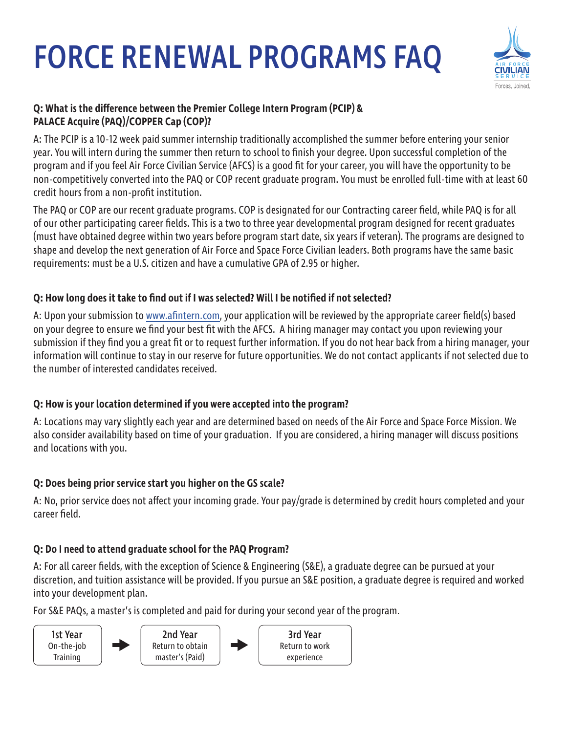# FORCE RENEWAL PROGRAMS FAQ



## **Q: What is the difference between the Premier College Intern Program (PCIP) & PALACE Acquire (PAQ)/COPPER Cap (COP)?**

A: The PCIP is a 10-12 week paid summer internship traditionally accomplished the summer before entering your senior year. You will intern during the summer then return to school to finish your degree. Upon successful completion of the program and if you feel Air Force Civilian Service (AFCS) is a good fit for your career, you will have the opportunity to be non-competitively converted into the PAQ or COP recent graduate program. You must be enrolled full-time with at least 60 credit hours from a non-profit institution.

The PAQ or COP are our recent graduate programs. COP is designated for our Contracting career field, while PAQ is for all of our other participating career fields. This is a two to three year developmental program designed for recent graduates (must have obtained degree within two years before program start date, six years if veteran). The programs are designed to shape and develop the next generation of Air Force and Space Force Civilian leaders. Both programs have the same basic requirements: must be a U.S. citizen and have a cumulative GPA of 2.95 or higher.

# **Q: How long does it take to find out if I was selected? Will I be notified if not selected?**

A: Upon your submission to [www.afintern.com](http://www.afintern.com), your application will be reviewed by the appropriate career field(s) based on your degree to ensure we find your best fit with the AFCS. A hiring manager may contact you upon reviewing your submission if they find you a great fit or to request further information. If you do not hear back from a hiring manager, your information will continue to stay in our reserve for future opportunities. We do not contact applicants if not selected due to the number of interested candidates received.

## **Q: How is your location determined if you were accepted into the program?**

A: Locations may vary slightly each year and are determined based on needs of the Air Force and Space Force Mission. We also consider availability based on time of your graduation. If you are considered, a hiring manager will discuss positions and locations with you.

## **Q: Does being prior service start you higher on the GS scale?**

A: No, prior service does not affect your incoming grade. Your pay/grade is determined by credit hours completed and your career field.

## **Q: Do I need to attend graduate school for the PAQ Program?**

A: For all career fields, with the exception of Science & Engineering (S&E), a graduate degree can be pursued at your discretion, and tuition assistance will be provided. If you pursue an S&E position, a graduate degree is required and worked into your development plan.

For S&E PAQs, a master's is completed and paid for during your second year of the program.

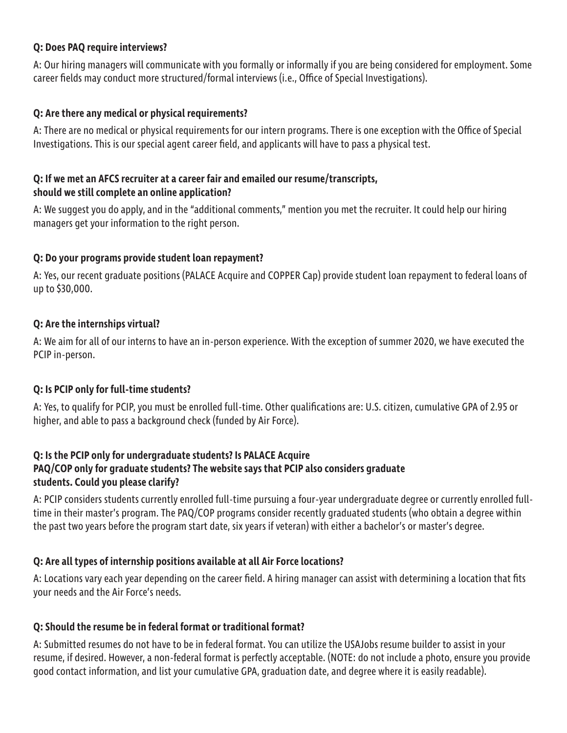#### **Q: Does PAQ require interviews?**

A: Our hiring managers will communicate with you formally or informally if you are being considered for employment. Some career fields may conduct more structured/formal interviews (i.e., Office of Special Investigations).

#### **Q: Are there any medical or physical requirements?**

A: There are no medical or physical requirements for our intern programs. There is one exception with the Office of Special Investigations. This is our special agent career field, and applicants will have to pass a physical test.

#### **Q: If we met an AFCS recruiter at a career fair and emailed our resume/transcripts, should we still complete an online application?**

A: We suggest you do apply, and in the "additional comments," mention you met the recruiter. It could help our hiring managers get your information to the right person.

#### **Q: Do your programs provide student loan repayment?**

A: Yes, our recent graduate positions (PALACE Acquire and COPPER Cap) provide student loan repayment to federal loans of up to \$30,000.

#### **Q: Are the internships virtual?**

A: We aim for all of our interns to have an in-person experience. With the exception of summer 2020, we have executed the PCIP in-person.

## **Q: Is PCIP only for full-time students?**

A: Yes, to qualify for PCIP, you must be enrolled full-time. Other qualifications are: U.S. citizen, cumulative GPA of 2.95 or higher, and able to pass a background check (funded by Air Force).

#### **Q: Is the PCIP only for undergraduate students? Is PALACE Acquire PAQ/COP only for graduate students? The website says that PCIP also considers graduate students. Could you please clarify?**

A: PCIP considers students currently enrolled full-time pursuing a four-year undergraduate degree or currently enrolled fulltime in their master's program. The PAQ/COP programs consider recently graduated students (who obtain a degree within the past two years before the program start date, six years if veteran) with either a bachelor's or master's degree.

## **Q: Are all types of internship positions available at all Air Force locations?**

A: Locations vary each year depending on the career field. A hiring manager can assist with determining a location that fits your needs and the Air Force's needs.

#### **Q: Should the resume be in federal format or traditional format?**

A: Submitted resumes do not have to be in federal format. You can utilize the USAJobs resume builder to assist in your resume, if desired. However, a non-federal format is perfectly acceptable. (NOTE: do not include a photo, ensure you provide good contact information, and list your cumulative GPA, graduation date, and degree where it is easily readable).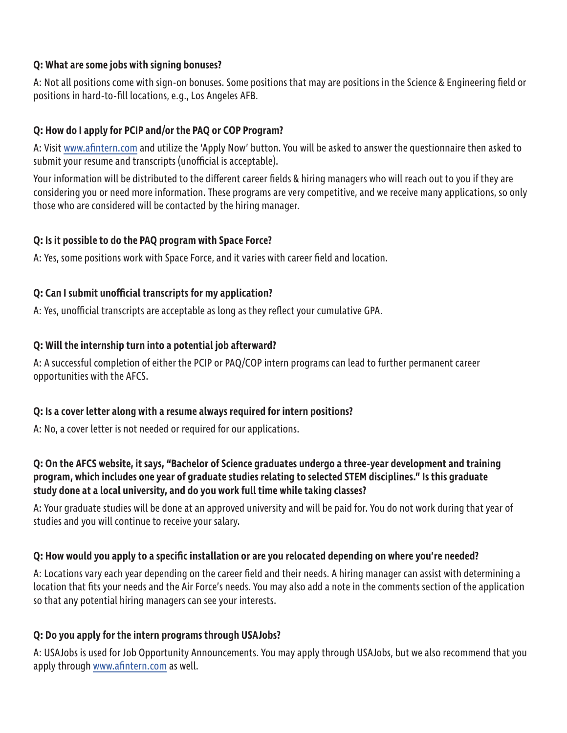## **Q: What are some jobs with signing bonuses?**

A: Not all positions come with sign-on bonuses. Some positions that may are positions in the Science & Engineering field or positions in hard-to-fill locations, e.g., Los Angeles AFB.

## **Q: How do I apply for PCIP and/or the PAQ or COP Program?**

A: Visit [www.afintern.com](http://www.afintern.com) and utilize the 'Apply Now' button. You will be asked to answer the questionnaire then asked to submit your resume and transcripts (unofficial is acceptable).

Your information will be distributed to the different career fields & hiring managers who will reach out to you if they are considering you or need more information. These programs are very competitive, and we receive many applications, so only those who are considered will be contacted by the hiring manager.

# **Q: Is it possible to do the PAQ program with Space Force?**

A: Yes, some positions work with Space Force, and it varies with career field and location.

# **Q: Can I submit unofficial transcripts for my application?**

A: Yes, unofficial transcripts are acceptable as long as they reflect your cumulative GPA.

# **Q: Will the internship turn into a potential job afterward?**

A: A successful completion of either the PCIP or PAQ/COP intern programs can lead to further permanent career opportunities with the AFCS.

## **Q: Is a cover letter along with a resume always required for intern positions?**

A: No, a cover letter is not needed or required for our applications.

## **Q: On the AFCS website, it says, "Bachelor of Science graduates undergo a three-year development and training program, which includes one year of graduate studies relating to selected STEM disciplines." Is this graduate study done at a local university, and do you work full time while taking classes?**

A: Your graduate studies will be done at an approved university and will be paid for. You do not work during that year of studies and you will continue to receive your salary.

# **Q: How would you apply to a specific installation or are you relocated depending on where you're needed?**

A: Locations vary each year depending on the career field and their needs. A hiring manager can assist with determining a location that fits your needs and the Air Force's needs. You may also add a note in the comments section of the application so that any potential hiring managers can see your interests.

# **Q: Do you apply for the intern programs through USAJobs?**

A: USAJobs is used for Job Opportunity Announcements. You may apply through USAJobs, but we also recommend that you apply through [www.afintern.com](http://www.afintern.com) as well.